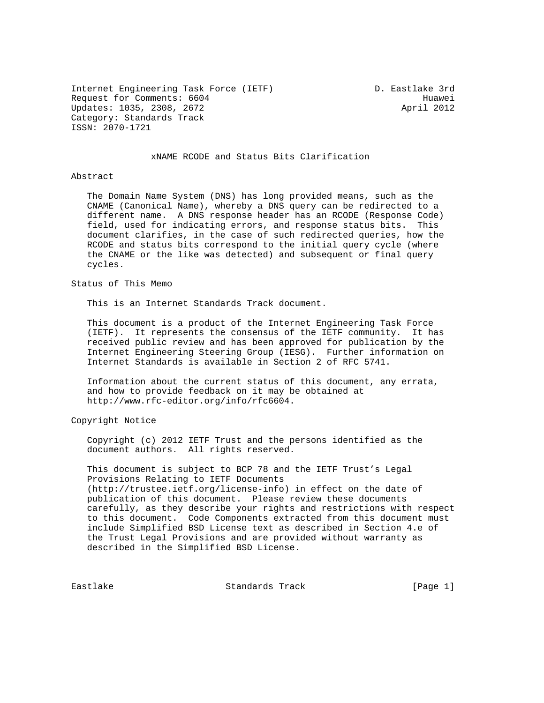Internet Engineering Task Force (IETF) The Manuscullum D. Eastlake 3rd Request for Comments: 6604 Huawei<br>Updates: 1035, 2308, 2672 Huawei (1992) Updates: 1035, 2308, 2672 Category: Standards Track ISSN: 2070-1721

## xNAME RCODE and Status Bits Clarification

Abstract

 The Domain Name System (DNS) has long provided means, such as the CNAME (Canonical Name), whereby a DNS query can be redirected to a different name. A DNS response header has an RCODE (Response Code) field, used for indicating errors, and response status bits. This document clarifies, in the case of such redirected queries, how the RCODE and status bits correspond to the initial query cycle (where the CNAME or the like was detected) and subsequent or final query cycles.

Status of This Memo

This is an Internet Standards Track document.

 This document is a product of the Internet Engineering Task Force (IETF). It represents the consensus of the IETF community. It has received public review and has been approved for publication by the Internet Engineering Steering Group (IESG). Further information on Internet Standards is available in Section 2 of RFC 5741.

 Information about the current status of this document, any errata, and how to provide feedback on it may be obtained at http://www.rfc-editor.org/info/rfc6604.

Copyright Notice

 Copyright (c) 2012 IETF Trust and the persons identified as the document authors. All rights reserved.

 This document is subject to BCP 78 and the IETF Trust's Legal Provisions Relating to IETF Documents (http://trustee.ietf.org/license-info) in effect on the date of publication of this document. Please review these documents carefully, as they describe your rights and restrictions with respect to this document. Code Components extracted from this document must include Simplified BSD License text as described in Section 4.e of the Trust Legal Provisions and are provided without warranty as described in the Simplified BSD License.

Eastlake Standards Track [Page 1]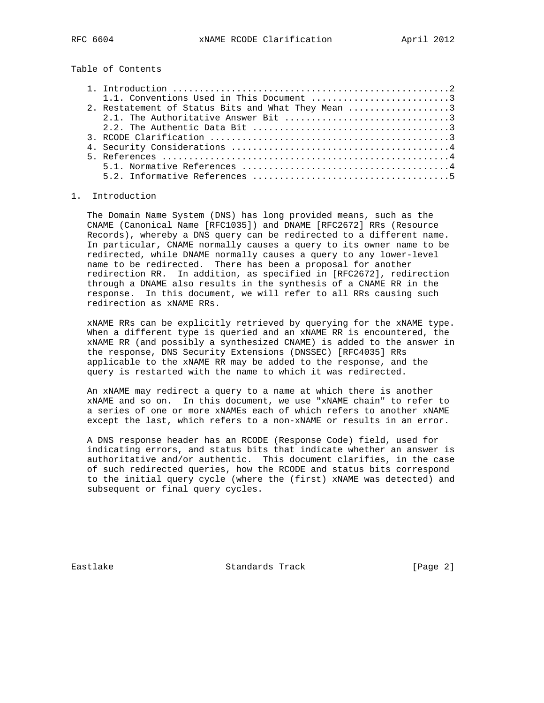Table of Contents

| 2. Restatement of Status Bits and What They Mean 3 |
|----------------------------------------------------|
|                                                    |
|                                                    |
|                                                    |
|                                                    |
|                                                    |
|                                                    |
|                                                    |

## 1. Introduction

 The Domain Name System (DNS) has long provided means, such as the CNAME (Canonical Name [RFC1035]) and DNAME [RFC2672] RRs (Resource Records), whereby a DNS query can be redirected to a different name. In particular, CNAME normally causes a query to its owner name to be redirected, while DNAME normally causes a query to any lower-level name to be redirected. There has been a proposal for another redirection RR. In addition, as specified in [RFC2672], redirection through a DNAME also results in the synthesis of a CNAME RR in the response. In this document, we will refer to all RRs causing such redirection as xNAME RRs.

 xNAME RRs can be explicitly retrieved by querying for the xNAME type. When a different type is queried and an xNAME RR is encountered, the xNAME RR (and possibly a synthesized CNAME) is added to the answer in the response, DNS Security Extensions (DNSSEC) [RFC4035] RRs applicable to the xNAME RR may be added to the response, and the query is restarted with the name to which it was redirected.

 An xNAME may redirect a query to a name at which there is another xNAME and so on. In this document, we use "xNAME chain" to refer to a series of one or more xNAMEs each of which refers to another xNAME except the last, which refers to a non-xNAME or results in an error.

 A DNS response header has an RCODE (Response Code) field, used for indicating errors, and status bits that indicate whether an answer is authoritative and/or authentic. This document clarifies, in the case of such redirected queries, how the RCODE and status bits correspond to the initial query cycle (where the (first) xNAME was detected) and subsequent or final query cycles.

Eastlake Standards Track [Page 2]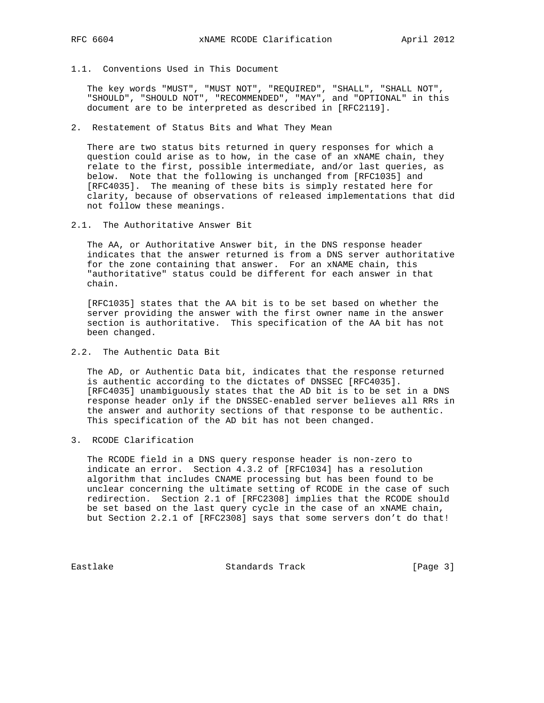- 
- 1.1. Conventions Used in This Document

 The key words "MUST", "MUST NOT", "REQUIRED", "SHALL", "SHALL NOT", "SHOULD", "SHOULD NOT", "RECOMMENDED", "MAY", and "OPTIONAL" in this document are to be interpreted as described in [RFC2119].

2. Restatement of Status Bits and What They Mean

 There are two status bits returned in query responses for which a question could arise as to how, in the case of an xNAME chain, they relate to the first, possible intermediate, and/or last queries, as below. Note that the following is unchanged from [RFC1035] and [RFC4035]. The meaning of these bits is simply restated here for clarity, because of observations of released implementations that did not follow these meanings.

2.1. The Authoritative Answer Bit

 The AA, or Authoritative Answer bit, in the DNS response header indicates that the answer returned is from a DNS server authoritative for the zone containing that answer. For an xNAME chain, this "authoritative" status could be different for each answer in that chain.

 [RFC1035] states that the AA bit is to be set based on whether the server providing the answer with the first owner name in the answer section is authoritative. This specification of the AA bit has not been changed.

2.2. The Authentic Data Bit

 The AD, or Authentic Data bit, indicates that the response returned is authentic according to the dictates of DNSSEC [RFC4035]. [RFC4035] unambiguously states that the AD bit is to be set in a DNS response header only if the DNSSEC-enabled server believes all RRs in the answer and authority sections of that response to be authentic. This specification of the AD bit has not been changed.

3. RCODE Clarification

 The RCODE field in a DNS query response header is non-zero to indicate an error. Section 4.3.2 of [RFC1034] has a resolution algorithm that includes CNAME processing but has been found to be unclear concerning the ultimate setting of RCODE in the case of such redirection. Section 2.1 of [RFC2308] implies that the RCODE should be set based on the last query cycle in the case of an xNAME chain, but Section 2.2.1 of [RFC2308] says that some servers don't do that!

Eastlake Standards Track [Page 3]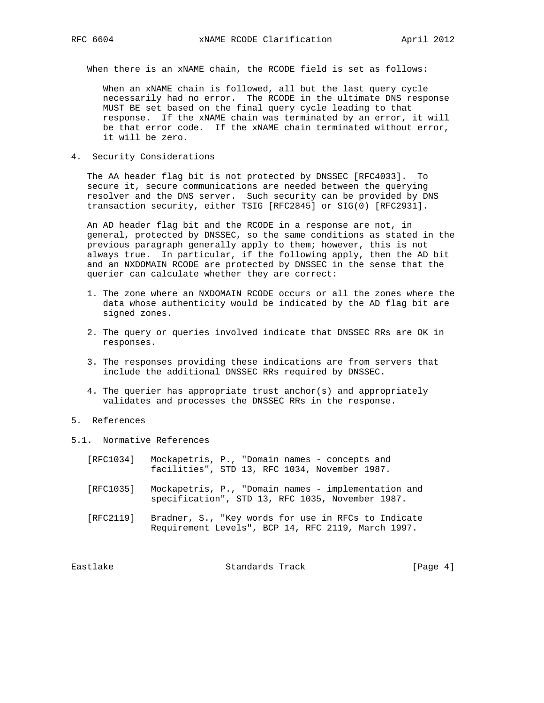When there is an xNAME chain, the RCODE field is set as follows:

 When an xNAME chain is followed, all but the last query cycle necessarily had no error. The RCODE in the ultimate DNS response MUST BE set based on the final query cycle leading to that response. If the xNAME chain was terminated by an error, it will be that error code. If the xNAME chain terminated without error, it will be zero.

4. Security Considerations

 The AA header flag bit is not protected by DNSSEC [RFC4033]. To secure it, secure communications are needed between the querying resolver and the DNS server. Such security can be provided by DNS transaction security, either TSIG [RFC2845] or SIG(0) [RFC2931].

 An AD header flag bit and the RCODE in a response are not, in general, protected by DNSSEC, so the same conditions as stated in the previous paragraph generally apply to them; however, this is not always true. In particular, if the following apply, then the AD bit and an NXDOMAIN RCODE are protected by DNSSEC in the sense that the querier can calculate whether they are correct:

- 1. The zone where an NXDOMAIN RCODE occurs or all the zones where the data whose authenticity would be indicated by the AD flag bit are signed zones.
- 2. The query or queries involved indicate that DNSSEC RRs are OK in responses.
- 3. The responses providing these indications are from servers that include the additional DNSSEC RRs required by DNSSEC.
- 4. The querier has appropriate trust anchor(s) and appropriately validates and processes the DNSSEC RRs in the response.
- 5. References
- 5.1. Normative References
	- [RFC1034] Mockapetris, P., "Domain names concepts and facilities", STD 13, RFC 1034, November 1987.
	- [RFC1035] Mockapetris, P., "Domain names implementation and specification", STD 13, RFC 1035, November 1987.
	- [RFC2119] Bradner, S., "Key words for use in RFCs to Indicate Requirement Levels", BCP 14, RFC 2119, March 1997.

Eastlake Standards Track [Page 4]